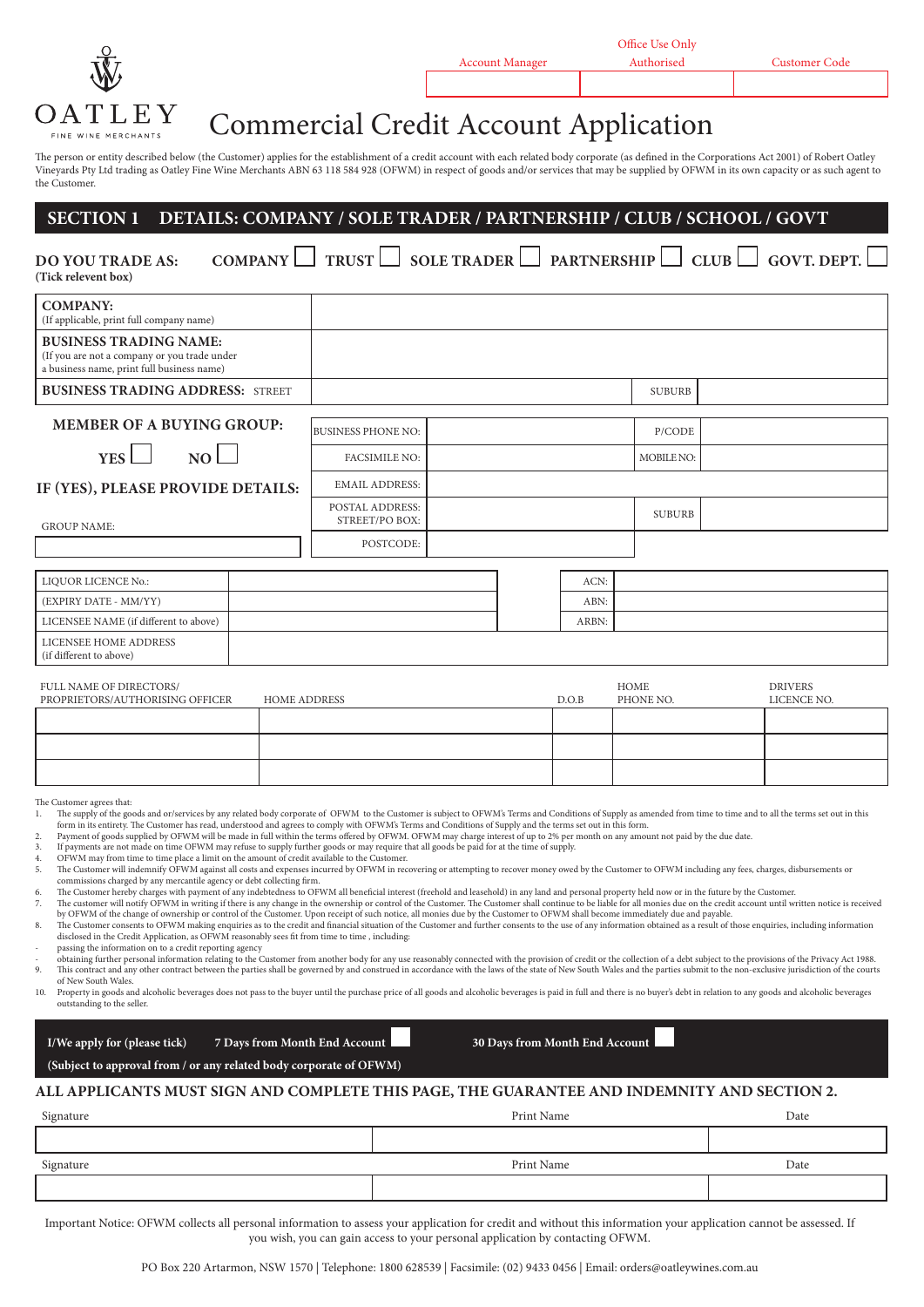|                                                                                                                                                                                                                                                                                                                                                                                                                                                                                                                                                                                                                                                                                                                                                                                                                                                                                                                                                                                                                                                                                                                                                                                                                                                                                                                                                                                                                                                                                                                                                                                                                                                                                                                                                                                                                                                                                                                                                                                                                                                                                                                                                                                                                                                                                                                                                                                                                                                                                                                                                                                                                                                                                                                                                                                                                                                                                                                                                                                |                                                                     |                                                                                           |  | <b>Account Manager</b> |       | Office Use Only<br>Authorised | <b>Customer Code</b>          |
|--------------------------------------------------------------------------------------------------------------------------------------------------------------------------------------------------------------------------------------------------------------------------------------------------------------------------------------------------------------------------------------------------------------------------------------------------------------------------------------------------------------------------------------------------------------------------------------------------------------------------------------------------------------------------------------------------------------------------------------------------------------------------------------------------------------------------------------------------------------------------------------------------------------------------------------------------------------------------------------------------------------------------------------------------------------------------------------------------------------------------------------------------------------------------------------------------------------------------------------------------------------------------------------------------------------------------------------------------------------------------------------------------------------------------------------------------------------------------------------------------------------------------------------------------------------------------------------------------------------------------------------------------------------------------------------------------------------------------------------------------------------------------------------------------------------------------------------------------------------------------------------------------------------------------------------------------------------------------------------------------------------------------------------------------------------------------------------------------------------------------------------------------------------------------------------------------------------------------------------------------------------------------------------------------------------------------------------------------------------------------------------------------------------------------------------------------------------------------------------------------------------------------------------------------------------------------------------------------------------------------------------------------------------------------------------------------------------------------------------------------------------------------------------------------------------------------------------------------------------------------------------------------------------------------------------------------------------------------------|---------------------------------------------------------------------|-------------------------------------------------------------------------------------------|--|------------------------|-------|-------------------------------|-------------------------------|
| ЕY<br>FINE WINE MERCHANTS                                                                                                                                                                                                                                                                                                                                                                                                                                                                                                                                                                                                                                                                                                                                                                                                                                                                                                                                                                                                                                                                                                                                                                                                                                                                                                                                                                                                                                                                                                                                                                                                                                                                                                                                                                                                                                                                                                                                                                                                                                                                                                                                                                                                                                                                                                                                                                                                                                                                                                                                                                                                                                                                                                                                                                                                                                                                                                                                                      |                                                                     | <b>Commercial Credit Account Application</b>                                              |  |                        |       |                               |                               |
| The person or entity described below (the Customer) applies for the establishment of a credit account with each related body corporate (as defined in the Corporations Act 2001) of Robert Oatley<br>Vineyards Pty Ltd trading as Oatley Fine Wine Merchants ABN 63 118 584 928 (OFWM) in respect of goods and/or services that may be supplied by OFWM in its own capacity or as such agent to<br>the Customer.                                                                                                                                                                                                                                                                                                                                                                                                                                                                                                                                                                                                                                                                                                                                                                                                                                                                                                                                                                                                                                                                                                                                                                                                                                                                                                                                                                                                                                                                                                                                                                                                                                                                                                                                                                                                                                                                                                                                                                                                                                                                                                                                                                                                                                                                                                                                                                                                                                                                                                                                                               |                                                                     |                                                                                           |  |                        |       |                               |                               |
| <b>SECTION 1</b>                                                                                                                                                                                                                                                                                                                                                                                                                                                                                                                                                                                                                                                                                                                                                                                                                                                                                                                                                                                                                                                                                                                                                                                                                                                                                                                                                                                                                                                                                                                                                                                                                                                                                                                                                                                                                                                                                                                                                                                                                                                                                                                                                                                                                                                                                                                                                                                                                                                                                                                                                                                                                                                                                                                                                                                                                                                                                                                                                               | DETAILS: COMPANY / SOLE TRADER / PARTNERSHIP / CLUB / SCHOOL / GOVT |                                                                                           |  |                        |       |                               |                               |
| <b>DO YOU TRADE AS:</b><br>(Tick relevent box)                                                                                                                                                                                                                                                                                                                                                                                                                                                                                                                                                                                                                                                                                                                                                                                                                                                                                                                                                                                                                                                                                                                                                                                                                                                                                                                                                                                                                                                                                                                                                                                                                                                                                                                                                                                                                                                                                                                                                                                                                                                                                                                                                                                                                                                                                                                                                                                                                                                                                                                                                                                                                                                                                                                                                                                                                                                                                                                                 |                                                                     | COMPANY $\Box$ TRUST $\Box$ SOLE TRADER $\Box$ PARTNERSHIP $\Box$ CLUB $\Box$ GOVT. DEPT. |  |                        |       |                               |                               |
| <b>COMPANY:</b><br>(If applicable, print full company name)                                                                                                                                                                                                                                                                                                                                                                                                                                                                                                                                                                                                                                                                                                                                                                                                                                                                                                                                                                                                                                                                                                                                                                                                                                                                                                                                                                                                                                                                                                                                                                                                                                                                                                                                                                                                                                                                                                                                                                                                                                                                                                                                                                                                                                                                                                                                                                                                                                                                                                                                                                                                                                                                                                                                                                                                                                                                                                                    |                                                                     |                                                                                           |  |                        |       |                               |                               |
| <b>BUSINESS TRADING NAME:</b><br>(If you are not a company or you trade under<br>a business name, print full business name)                                                                                                                                                                                                                                                                                                                                                                                                                                                                                                                                                                                                                                                                                                                                                                                                                                                                                                                                                                                                                                                                                                                                                                                                                                                                                                                                                                                                                                                                                                                                                                                                                                                                                                                                                                                                                                                                                                                                                                                                                                                                                                                                                                                                                                                                                                                                                                                                                                                                                                                                                                                                                                                                                                                                                                                                                                                    |                                                                     |                                                                                           |  |                        |       |                               |                               |
| <b>BUSINESS TRADING ADDRESS: STREET</b>                                                                                                                                                                                                                                                                                                                                                                                                                                                                                                                                                                                                                                                                                                                                                                                                                                                                                                                                                                                                                                                                                                                                                                                                                                                                                                                                                                                                                                                                                                                                                                                                                                                                                                                                                                                                                                                                                                                                                                                                                                                                                                                                                                                                                                                                                                                                                                                                                                                                                                                                                                                                                                                                                                                                                                                                                                                                                                                                        |                                                                     |                                                                                           |  |                        |       | <b>SUBURB</b>                 |                               |
| <b>MEMBER OF A BUYING GROUP:</b>                                                                                                                                                                                                                                                                                                                                                                                                                                                                                                                                                                                                                                                                                                                                                                                                                                                                                                                                                                                                                                                                                                                                                                                                                                                                                                                                                                                                                                                                                                                                                                                                                                                                                                                                                                                                                                                                                                                                                                                                                                                                                                                                                                                                                                                                                                                                                                                                                                                                                                                                                                                                                                                                                                                                                                                                                                                                                                                                               |                                                                     | <b>BUSINESS PHONE NO:</b>                                                                 |  |                        |       | P/CODE                        |                               |
| $NO$ $\Box$<br>YES <sup>1</sup>                                                                                                                                                                                                                                                                                                                                                                                                                                                                                                                                                                                                                                                                                                                                                                                                                                                                                                                                                                                                                                                                                                                                                                                                                                                                                                                                                                                                                                                                                                                                                                                                                                                                                                                                                                                                                                                                                                                                                                                                                                                                                                                                                                                                                                                                                                                                                                                                                                                                                                                                                                                                                                                                                                                                                                                                                                                                                                                                                |                                                                     | <b>FACSIMILE NO:</b>                                                                      |  |                        |       | MOBILE NO:                    |                               |
| IF (YES), PLEASE PROVIDE DETAILS:                                                                                                                                                                                                                                                                                                                                                                                                                                                                                                                                                                                                                                                                                                                                                                                                                                                                                                                                                                                                                                                                                                                                                                                                                                                                                                                                                                                                                                                                                                                                                                                                                                                                                                                                                                                                                                                                                                                                                                                                                                                                                                                                                                                                                                                                                                                                                                                                                                                                                                                                                                                                                                                                                                                                                                                                                                                                                                                                              |                                                                     | <b>EMAIL ADDRESS:</b>                                                                     |  |                        |       |                               |                               |
| <b>GROUP NAME:</b>                                                                                                                                                                                                                                                                                                                                                                                                                                                                                                                                                                                                                                                                                                                                                                                                                                                                                                                                                                                                                                                                                                                                                                                                                                                                                                                                                                                                                                                                                                                                                                                                                                                                                                                                                                                                                                                                                                                                                                                                                                                                                                                                                                                                                                                                                                                                                                                                                                                                                                                                                                                                                                                                                                                                                                                                                                                                                                                                                             |                                                                     | POSTAL ADDRESS:<br>STREET/PO BOX:                                                         |  |                        |       | <b>SUBURB</b>                 |                               |
|                                                                                                                                                                                                                                                                                                                                                                                                                                                                                                                                                                                                                                                                                                                                                                                                                                                                                                                                                                                                                                                                                                                                                                                                                                                                                                                                                                                                                                                                                                                                                                                                                                                                                                                                                                                                                                                                                                                                                                                                                                                                                                                                                                                                                                                                                                                                                                                                                                                                                                                                                                                                                                                                                                                                                                                                                                                                                                                                                                                |                                                                     | POSTCODE:                                                                                 |  |                        |       |                               |                               |
| LIQUOR LICENCE No.:                                                                                                                                                                                                                                                                                                                                                                                                                                                                                                                                                                                                                                                                                                                                                                                                                                                                                                                                                                                                                                                                                                                                                                                                                                                                                                                                                                                                                                                                                                                                                                                                                                                                                                                                                                                                                                                                                                                                                                                                                                                                                                                                                                                                                                                                                                                                                                                                                                                                                                                                                                                                                                                                                                                                                                                                                                                                                                                                                            |                                                                     |                                                                                           |  |                        | ACN:  |                               |                               |
| (EXPIRY DATE - MM/YY)                                                                                                                                                                                                                                                                                                                                                                                                                                                                                                                                                                                                                                                                                                                                                                                                                                                                                                                                                                                                                                                                                                                                                                                                                                                                                                                                                                                                                                                                                                                                                                                                                                                                                                                                                                                                                                                                                                                                                                                                                                                                                                                                                                                                                                                                                                                                                                                                                                                                                                                                                                                                                                                                                                                                                                                                                                                                                                                                                          |                                                                     |                                                                                           |  |                        | ABN:  |                               |                               |
| LICENSEE NAME (if different to above)                                                                                                                                                                                                                                                                                                                                                                                                                                                                                                                                                                                                                                                                                                                                                                                                                                                                                                                                                                                                                                                                                                                                                                                                                                                                                                                                                                                                                                                                                                                                                                                                                                                                                                                                                                                                                                                                                                                                                                                                                                                                                                                                                                                                                                                                                                                                                                                                                                                                                                                                                                                                                                                                                                                                                                                                                                                                                                                                          |                                                                     |                                                                                           |  |                        | ARBN: |                               |                               |
| LICENSEE HOME ADDRESS<br>(if different to above)                                                                                                                                                                                                                                                                                                                                                                                                                                                                                                                                                                                                                                                                                                                                                                                                                                                                                                                                                                                                                                                                                                                                                                                                                                                                                                                                                                                                                                                                                                                                                                                                                                                                                                                                                                                                                                                                                                                                                                                                                                                                                                                                                                                                                                                                                                                                                                                                                                                                                                                                                                                                                                                                                                                                                                                                                                                                                                                               |                                                                     |                                                                                           |  |                        |       |                               |                               |
| FULL NAME OF DIRECTORS/<br>PROPRIETORS/AUTHORISING OFFICER                                                                                                                                                                                                                                                                                                                                                                                                                                                                                                                                                                                                                                                                                                                                                                                                                                                                                                                                                                                                                                                                                                                                                                                                                                                                                                                                                                                                                                                                                                                                                                                                                                                                                                                                                                                                                                                                                                                                                                                                                                                                                                                                                                                                                                                                                                                                                                                                                                                                                                                                                                                                                                                                                                                                                                                                                                                                                                                     | <b>HOME ADDRESS</b>                                                 |                                                                                           |  |                        | D.O.B | <b>HOME</b><br>PHONE NO.      | <b>DRIVERS</b><br>LICENCE NO. |
|                                                                                                                                                                                                                                                                                                                                                                                                                                                                                                                                                                                                                                                                                                                                                                                                                                                                                                                                                                                                                                                                                                                                                                                                                                                                                                                                                                                                                                                                                                                                                                                                                                                                                                                                                                                                                                                                                                                                                                                                                                                                                                                                                                                                                                                                                                                                                                                                                                                                                                                                                                                                                                                                                                                                                                                                                                                                                                                                                                                |                                                                     |                                                                                           |  |                        |       |                               |                               |
|                                                                                                                                                                                                                                                                                                                                                                                                                                                                                                                                                                                                                                                                                                                                                                                                                                                                                                                                                                                                                                                                                                                                                                                                                                                                                                                                                                                                                                                                                                                                                                                                                                                                                                                                                                                                                                                                                                                                                                                                                                                                                                                                                                                                                                                                                                                                                                                                                                                                                                                                                                                                                                                                                                                                                                                                                                                                                                                                                                                |                                                                     |                                                                                           |  |                        |       |                               |                               |
|                                                                                                                                                                                                                                                                                                                                                                                                                                                                                                                                                                                                                                                                                                                                                                                                                                                                                                                                                                                                                                                                                                                                                                                                                                                                                                                                                                                                                                                                                                                                                                                                                                                                                                                                                                                                                                                                                                                                                                                                                                                                                                                                                                                                                                                                                                                                                                                                                                                                                                                                                                                                                                                                                                                                                                                                                                                                                                                                                                                |                                                                     |                                                                                           |  |                        |       |                               |                               |
| The Customer agrees that:<br>The supply of the goods and or/services by any related body corporate of OFWM to the Customer is subject to OFWM's Terms and Conditions of Supply as amended from time to time and to all the terms set out in this<br>1.<br>form in its entirety. The Customer has read, understood and agrees to comply with OFWM's Terms and Conditions of Supply and the terms set out in this form.<br>Payment of goods supplied by OFWM will be made in full within the terms offered by OFWM. OFWM may charge interest of up to 2% per month on any amount not paid by the due date.<br>2.<br>If payments are not made on time OFWM may refuse to supply further goods or may require that all goods be paid for at the time of supply.<br>3.<br>OFWM may from time to time place a limit on the amount of credit available to the Customer.<br>4.<br>The Customer will indemnify OFWM against all costs and expenses incurred by OFWM in recovering or attempting to recover money owed by the Customer to OFWM including any fees, charges, disbursements or<br>-5.<br>commissions charged by any mercantile agency or debt collecting firm.<br>The Customer hereby charges with payment of any indebtedness to OFWM all beneficial interest (freehold and leasehold) in any land and personal property held now or in the future by the Customer.<br>6.<br>The customer will notify OFWM in writing if there is any change in the ownership or control of the Customer. The Customer shall continue to be liable for all monies due on the credit account until written notice is receive<br>7.<br>by OFWM of the change of ownership or control of the Customer. Upon receipt of such notice, all monies due by the Customer to OFWM shall become immediately due and payable.<br>The Customer consents to OFWM making enquiries as to the credit and financial situation of the Customer and further consents to the use of any information obtained as a result of those enquiries, including information<br>8.<br>disclosed in the Credit Application, as OFWM reasonably sees fit from time to time, including:<br>passing the information on to a credit reporting agency<br>obtaining further personal information relating to the Customer from another body for any use reasonably connected with the provision of credit or the collection of a debt subject to the provisions of the Privacy Act 1988.<br>This contract and any other contract between the parties shall be governed by and construed in accordance with the laws of the state of New South Wales and the parties submit to the non-exclusive jurisdiction of the courts<br>9.<br>of New South Wales.<br>Property in goods and alcoholic beverages does not pass to the buyer until the purchase price of all goods and alcoholic beverages is paid in full and there is no buyer's debt in relation to any goods and alcoholic beverag<br>10.<br>outstanding to the seller. |                                                                     |                                                                                           |  |                        |       |                               |                               |
| 30 Days from Month End Account<br>7 Days from Month End Account<br>I/We apply for (please tick)<br>(Subject to approval from / or any related body corporate of OFWM)                                                                                                                                                                                                                                                                                                                                                                                                                                                                                                                                                                                                                                                                                                                                                                                                                                                                                                                                                                                                                                                                                                                                                                                                                                                                                                                                                                                                                                                                                                                                                                                                                                                                                                                                                                                                                                                                                                                                                                                                                                                                                                                                                                                                                                                                                                                                                                                                                                                                                                                                                                                                                                                                                                                                                                                                          |                                                                     |                                                                                           |  |                        |       |                               |                               |
| ALL APPLICANTS MUST SIGN AND COMPLETE THIS PAGE, THE GUARANTEE AND INDEMNITY AND SECTION 2.                                                                                                                                                                                                                                                                                                                                                                                                                                                                                                                                                                                                                                                                                                                                                                                                                                                                                                                                                                                                                                                                                                                                                                                                                                                                                                                                                                                                                                                                                                                                                                                                                                                                                                                                                                                                                                                                                                                                                                                                                                                                                                                                                                                                                                                                                                                                                                                                                                                                                                                                                                                                                                                                                                                                                                                                                                                                                    |                                                                     |                                                                                           |  |                        |       |                               |                               |
| Signature                                                                                                                                                                                                                                                                                                                                                                                                                                                                                                                                                                                                                                                                                                                                                                                                                                                                                                                                                                                                                                                                                                                                                                                                                                                                                                                                                                                                                                                                                                                                                                                                                                                                                                                                                                                                                                                                                                                                                                                                                                                                                                                                                                                                                                                                                                                                                                                                                                                                                                                                                                                                                                                                                                                                                                                                                                                                                                                                                                      |                                                                     |                                                                                           |  | Print Name             |       |                               | Date                          |
|                                                                                                                                                                                                                                                                                                                                                                                                                                                                                                                                                                                                                                                                                                                                                                                                                                                                                                                                                                                                                                                                                                                                                                                                                                                                                                                                                                                                                                                                                                                                                                                                                                                                                                                                                                                                                                                                                                                                                                                                                                                                                                                                                                                                                                                                                                                                                                                                                                                                                                                                                                                                                                                                                                                                                                                                                                                                                                                                                                                |                                                                     |                                                                                           |  |                        |       |                               |                               |
| Signature                                                                                                                                                                                                                                                                                                                                                                                                                                                                                                                                                                                                                                                                                                                                                                                                                                                                                                                                                                                                                                                                                                                                                                                                                                                                                                                                                                                                                                                                                                                                                                                                                                                                                                                                                                                                                                                                                                                                                                                                                                                                                                                                                                                                                                                                                                                                                                                                                                                                                                                                                                                                                                                                                                                                                                                                                                                                                                                                                                      |                                                                     | Print Name                                                                                |  |                        |       |                               | Date                          |

Important Notice: OFWM collects all personal information to assess your application for credit and without this information your application cannot be assessed. If you wish, you can gain access to your personal application by contacting OFWM.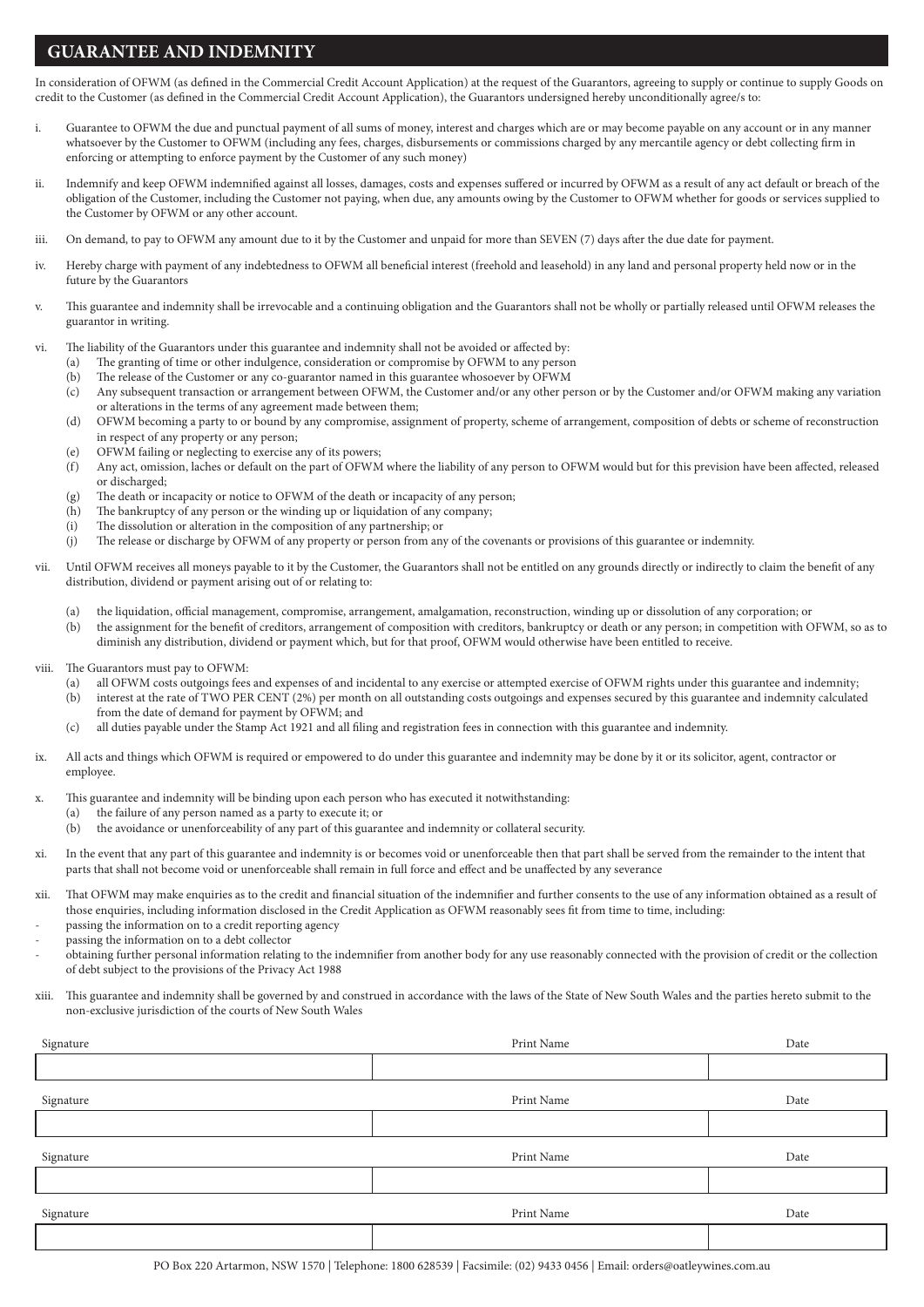## **GUARANTEE AND INDEMNITY**

In consideration of OFWM (as defined in the Commercial Credit Account Application) at the request of the Guarantors, agreeing to supply or continue to supply Goods on credit to the Customer (as defined in the Commercial Credit Account Application), the Guarantors undersigned hereby unconditionally agree/s to:

- i. Guarantee to OFWM the due and punctual payment of all sums of money, interest and charges which are or may become payable on any account or in any manner whatsoever by the Customer to OFWM (including any fees, charges, disbursements or commissions charged by any mercantile agency or debt collecting firm in enforcing or attempting to enforce payment by the Customer of any such money)
- ii. Indemnify and keep OFWM indemnified against all losses, damages, costs and expenses suffered or incurred by OFWM as a result of any act default or breach of the obligation of the Customer, including the Customer not paying, when due, any amounts owing by the Customer to OFWM whether for goods or services supplied to the Customer by OFWM or any other account.
- iii. On demand, to pay to OFWM any amount due to it by the Customer and unpaid for more than SEVEN (7) days after the due date for payment.
- iv. Hereby charge with payment of any indebtedness to OFWM all beneficial interest (freehold and leasehold) in any land and personal property held now or in the future by the Guarantors
- v. This guarantee and indemnity shall be irrevocable and a continuing obligation and the Guarantors shall not be wholly or partially released until OFWM releases the guarantor in writing.
- vi. The liability of the Guarantors under this guarantee and indemnity shall not be avoided or affected by:
	- (a) The granting of time or other indulgence, consideration or compromise by OFWM to any person
	- (b) The release of the Customer or any co-guarantor named in this guarantee whosoever by OFWM (c) Any subsequent transaction or arrangement between OFWM, the Customer and/or any other person or by the Customer and/or OFWM making any variation or alterations in the terms of any agreement made between them;
	- (d) OFWM becoming a party to or bound by any compromise, assignment of property, scheme of arrangement, composition of debts or scheme of reconstruction in respect of any property or any person;
	- (e) OFWM failing or neglecting to exercise any of its powers;
	- (f) Any act, omission, laches or default on the part of OFWM where the liability of any person to OFWM would but for this prevision have been affected, released or discharged;
	- (g) The death or incapacity or notice to OFWM of the death or incapacity of any person;
	- (h) The bankruptcy of any person or the winding up or liquidation of any company;
	- (i) The dissolution or alteration in the composition of any partnership; or
	- (j) The release or discharge by OFWM of any property or person from any of the covenants or provisions of this guarantee or indemnity.
- vii. Until OFWM receives all moneys payable to it by the Customer, the Guarantors shall not be entitled on any grounds directly or indirectly to claim the benefit of any distribution, dividend or payment arising out of or relating to:
	- (a) the liquidation, official management, compromise, arrangement, amalgamation, reconstruction, winding up or dissolution of any corporation; or
	- (b) the assignment for the benefit of creditors, arrangement of composition with creditors, bankruptcy or death or any person; in competition with OFWM, so as to diminish any distribution, dividend or payment which, but for that proof, OFWM would otherwise have been entitled to receive.
- viii. The Guarantors must pay to OFWM:
	- (a) all OFWM costs outgoings fees and expenses of and incidental to any exercise or attempted exercise of OFWM rights under this guarantee and indemnity;
	- (b) interest at the rate of TWO PER CENT (2%) per month on all outstanding costs outgoings and expenses secured by this guarantee and indemnity calculated from the date of demand for payment by OFWM; and
	- (c) all duties payable under the Stamp Act 1921 and all filing and registration fees in connection with this guarantee and indemnity.
- ix. All acts and things which OFWM is required or empowered to do under this guarantee and indemnity may be done by it or its solicitor, agent, contractor or employee.
- x. This guarantee and indemnity will be binding upon each person who has executed it notwithstanding:
	- (a) the failure of any person named as a party to execute it; or
	- (b) the avoidance or unenforceability of any part of this guarantee and indemnity or collateral security.
- xi. In the event that any part of this guarantee and indemnity is or becomes void or unenforceable then that part shall be served from the remainder to the intent that parts that shall not become void or unenforceable shall remain in full force and effect and be unaffected by any severance
- xii. That OFWM may make enquiries as to the credit and financial situation of the indemnifier and further consents to the use of any information obtained as a result of those enquiries, including information disclosed in the Credit Application as OFWM reasonably sees fit from time to time, including:
- passing the information on to a credit reporting agency
- passing the information on to a debt collector
- obtaining further personal information relating to the indemnifier from another body for any use reasonably connected with the provision of credit or the collection of debt subject to the provisions of the Privacy Act 1988
- xiii. This guarantee and indemnity shall be governed by and construed in accordance with the laws of the State of New South Wales and the parties hereto submit to the non-exclusive jurisdiction of the courts of New South Wales

| Signature | Print Name | Date |
|-----------|------------|------|
|           |            |      |
| Signature | Print Name | Date |
|           |            |      |
| Signature | Print Name | Date |
|           |            |      |
| Signature | Print Name | Date |
|           |            |      |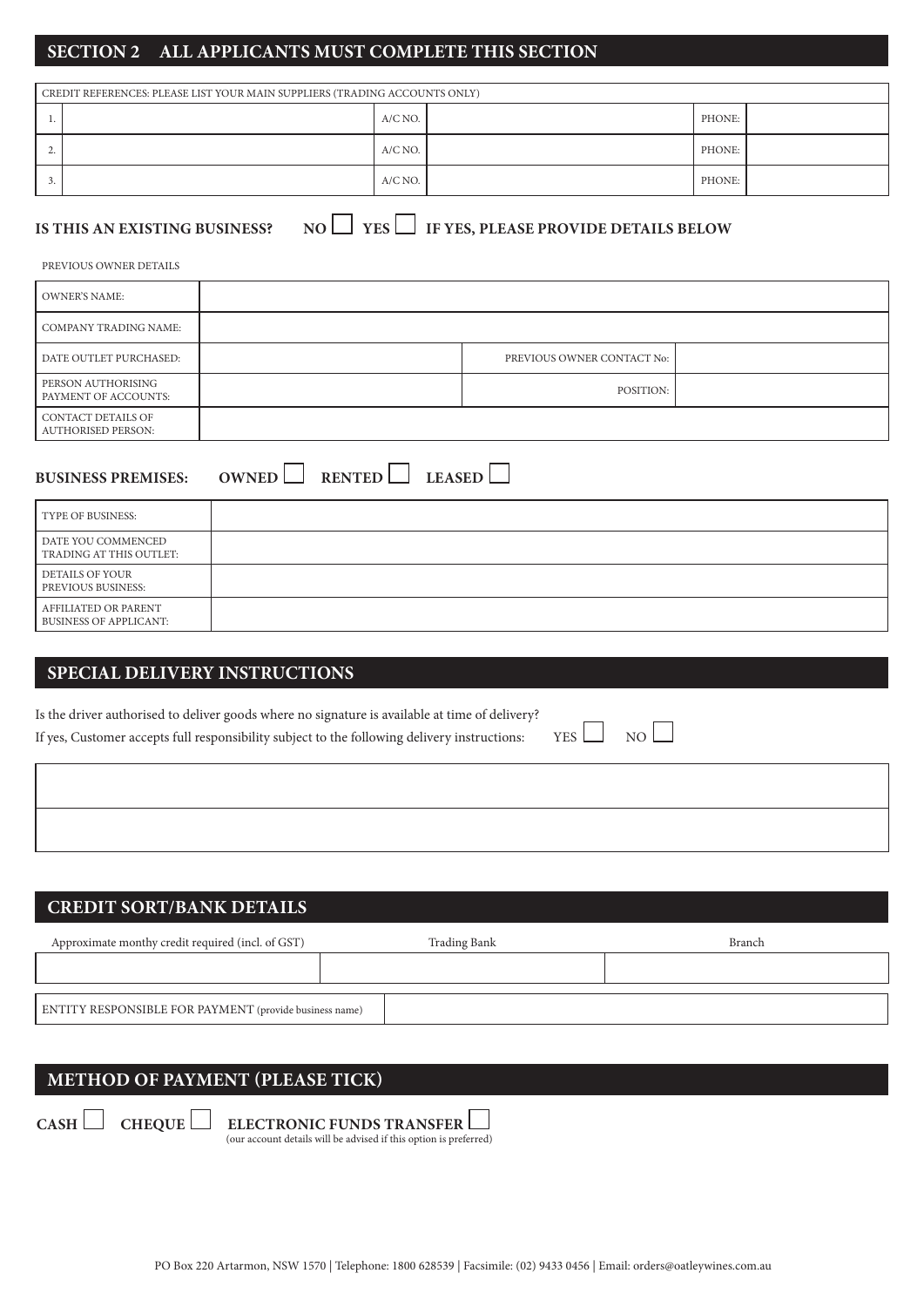## **SECTION 2 ALL APPLICANTS MUST COMPLETE THIS SECTION**

|    | CREDIT REFERENCES: PLEASE LIST YOUR MAIN SUPPLIERS (TRADING ACCOUNTS ONLY) |           |  |        |  |
|----|----------------------------------------------------------------------------|-----------|--|--------|--|
|    |                                                                            | $A/C$ NO. |  | PHONE: |  |
| z. |                                                                            | $A/C$ NO. |  | PHONE: |  |
|    |                                                                            | $A/C$ NO. |  | PHONE: |  |

## **IS THIS AN EXISTING BUSINESS?** NO  $\Box$  YES  $\Box$  IF YES, PLEASE PROVIDE DETAILS BELOW

PREVIOUS OWNER DETAILS

| <b>OWNER'S NAME:</b>                            |                            |  |
|-------------------------------------------------|----------------------------|--|
| COMPANY TRADING NAME:                           |                            |  |
| DATE OUTLET PURCHASED:                          | PREVIOUS OWNER CONTACT No: |  |
| PERSON AUTHORISING<br>PAYMENT OF ACCOUNTS:      | POSITION:                  |  |
| CONTACT DETAILS OF<br><b>AUTHORISED PERSON:</b> |                            |  |

# **BUSINESS PREMISES:** OWNED RENTED LEASED

| TYPE OF BUSINESS:                                     |  |
|-------------------------------------------------------|--|
| l date you commenced<br>TRADING AT THIS OUTLET:       |  |
| DETAILS OF YOUR<br><b>PREVIOUS BUSINESS:</b>          |  |
| AFFILIATED OR PARENT<br><b>BUSINESS OF APPLICANT:</b> |  |

## **SPECIAL DELIVERY INSTRUCTIONS**

| Is the driver authorised to deliver goods where no signature is available at time of delivery? |                 |  |
|------------------------------------------------------------------------------------------------|-----------------|--|
| If yes, Customer accepts full responsibility subject to the following delivery instructions:   | $YES$ NO $\Box$ |  |

## **CREDIT SORT/BANK DETAILS**

| Approximate monthy credit required (incl. of GST)      | Trading Bank | Branch |
|--------------------------------------------------------|--------------|--------|
|                                                        |              |        |
|                                                        |              |        |
| ENTITY RESPONSIBLE FOR PAYMENT (provide business name) |              |        |

## **METHOD OF PAYMENT (PLEASE TICK)**

**CASH CHEQUE ELECTRONIC FUNDS TRANSFER** 

(our account details will be advised if this option is preferred)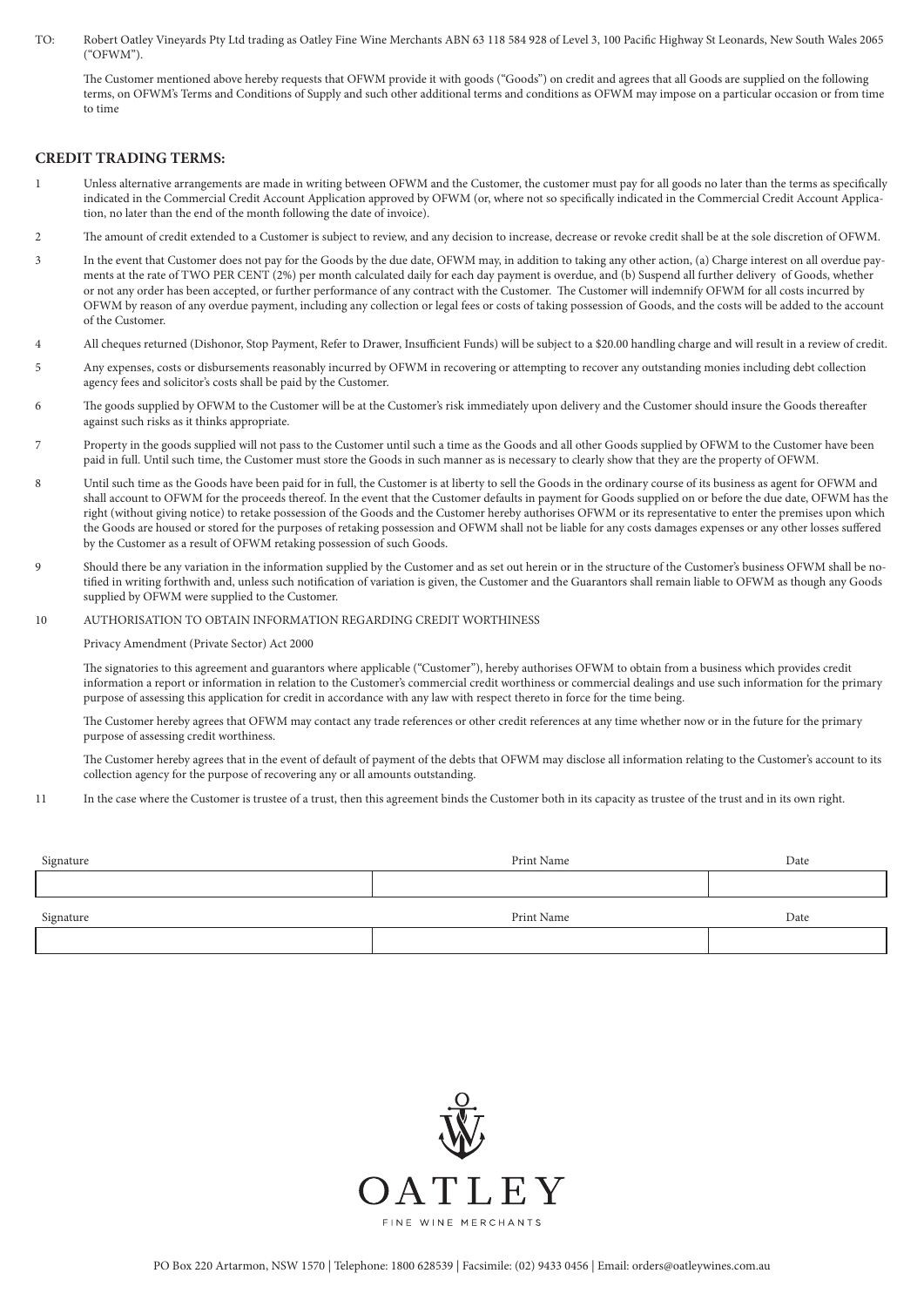TO: Robert Oatley Vineyards Pty Ltd trading as Oatley Fine Wine Merchants ABN 63 118 584 928 of Level 3, 100 Pacific Highway St Leonards, New South Wales 2065 ("OFWM").

The Customer mentioned above hereby requests that OFWM provide it with goods ("Goods") on credit and agrees that all Goods are supplied on the following terms, on OFWM's Terms and Conditions of Supply and such other additional terms and conditions as OFWM may impose on a particular occasion or from time to time

### **CREDIT TRADING TERMS:**

- 1 Unless alternative arrangements are made in writing between OFWM and the Customer, the customer must pay for all goods no later than the terms as specifically indicated in the Commercial Credit Account Application approved by OFWM (or, where not so specifically indicated in the Commercial Credit Account Application, no later than the end of the month following the date of invoice).
- 2 The amount of credit extended to a Customer is subject to review, and any decision to increase, decrease or revoke credit shall be at the sole discretion of OFWM.
- 3 In the event that Customer does not pay for the Goods by the due date, OFWM may, in addition to taking any other action, (a) Charge interest on all overdue payments at the rate of TWO PER CENT (2%) per month calculated daily for each day payment is overdue, and (b) Suspend all further delivery of Goods, whether or not any order has been accepted, or further performance of any contract with the Customer. The Customer will indemnify OFWM for all costs incurred by OFWM by reason of any overdue payment, including any collection or legal fees or costs of taking possession of Goods, and the costs will be added to the account of the Customer.
- 4 All cheques returned (Dishonor, Stop Payment, Refer to Drawer, Insufficient Funds) will be subject to a \$20.00 handling charge and will result in a review of credit.
- 5 Any expenses, costs or disbursements reasonably incurred by OFWM in recovering or attempting to recover any outstanding monies including debt collection agency fees and solicitor's costs shall be paid by the Customer.
- 6 The goods supplied by OFWM to the Customer will be at the Customer's risk immediately upon delivery and the Customer should insure the Goods thereafter against such risks as it thinks appropriate.
- 7 Property in the goods supplied will not pass to the Customer until such a time as the Goods and all other Goods supplied by OFWM to the Customer have been paid in full. Until such time, the Customer must store the Goods in such manner as is necessary to clearly show that they are the property of OFWM.
- 8 Until such time as the Goods have been paid for in full, the Customer is at liberty to sell the Goods in the ordinary course of its business as agent for OFWM and shall account to OFWM for the proceeds thereof. In the event that the Customer defaults in payment for Goods supplied on or before the due date, OFWM has the right (without giving notice) to retake possession of the Goods and the Customer hereby authorises OFWM or its representative to enter the premises upon which the Goods are housed or stored for the purposes of retaking possession and OFWM shall not be liable for any costs damages expenses or any other losses suffered by the Customer as a result of OFWM retaking possession of such Goods.
- 9 Should there be any variation in the information supplied by the Customer and as set out herein or in the structure of the Customer's business OFWM shall be notified in writing forthwith and, unless such notification of variation is given, the Customer and the Guarantors shall remain liable to OFWM as though any Goods supplied by OFWM were supplied to the Customer.
- 10 AUTHORISATION TO OBTAIN INFORMATION REGARDING CREDIT WORTHINESS

Privacy Amendment (Private Sector) Act 2000

The signatories to this agreement and guarantors where applicable ("Customer"), hereby authorises OFWM to obtain from a business which provides credit information a report or information in relation to the Customer's commercial credit worthiness or commercial dealings and use such information for the primary purpose of assessing this application for credit in accordance with any law with respect thereto in force for the time being.

The Customer hereby agrees that OFWM may contact any trade references or other credit references at any time whether now or in the future for the primary purpose of assessing credit worthiness.

The Customer hereby agrees that in the event of default of payment of the debts that OFWM may disclose all information relating to the Customer's account to its collection agency for the purpose of recovering any or all amounts outstanding.

11 In the case where the Customer is trustee of a trust, then this agreement binds the Customer both in its capacity as trustee of the trust and in its own right.

| Signature | Print Name | Date |
|-----------|------------|------|
|           |            |      |
| Signature | Print Name | Date |
|           |            |      |

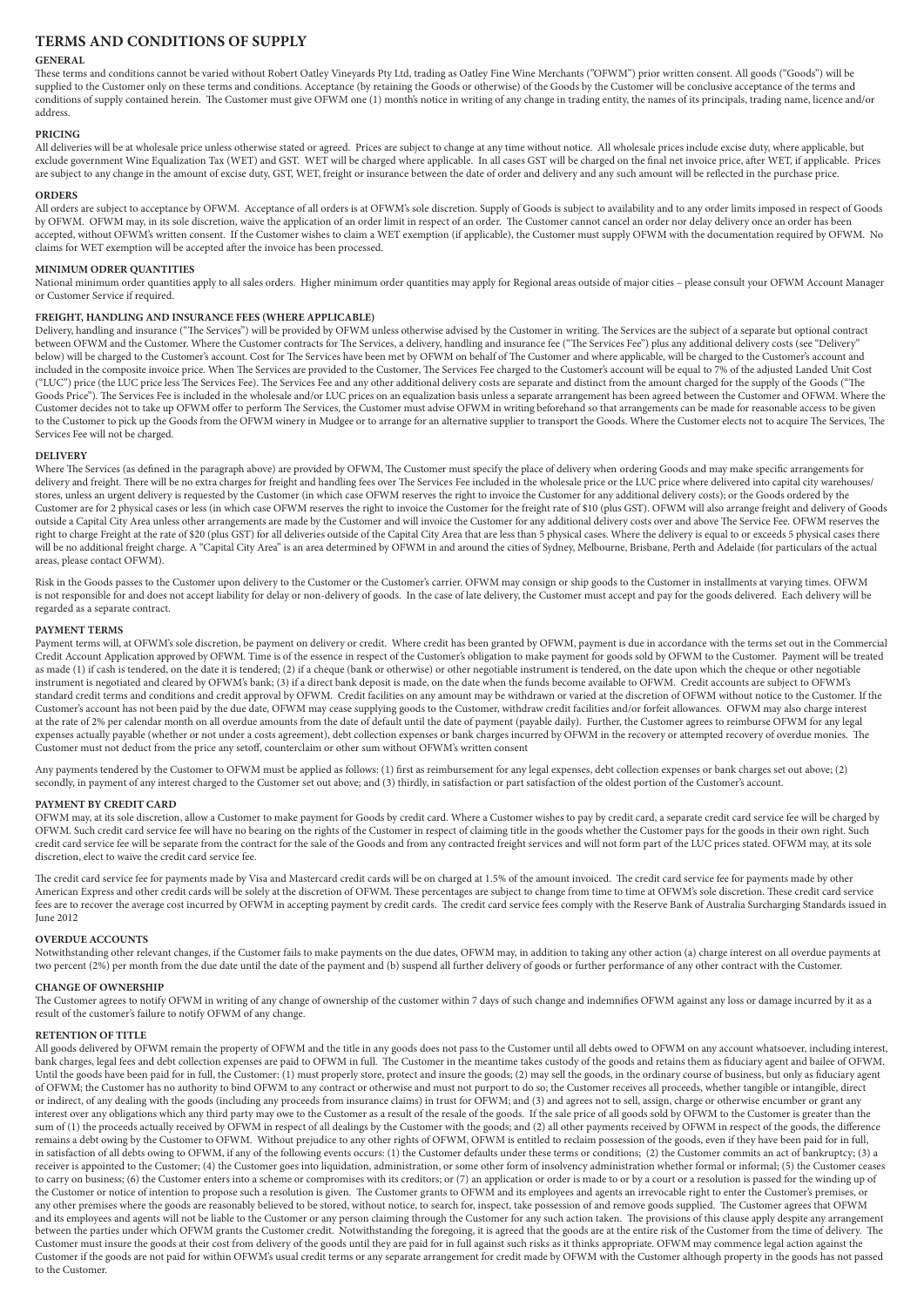### **TERMS AND CONDITIONS OF SUPPLY**

#### **GENERAL**

These terms and conditions cannot be varied without Robert Oatley Vineyards Pty Ltd, trading as Oatley Fine Wine Merchants ("OFWM") prior written consent. All goods ("Goods") will be supplied to the Customer only on these terms and conditions. Acceptance (by retaining the Goods or otherwise) of the Goods by the Customer will be conclusive acceptance of the terms and conditions of supply contained herein. The Customer must give OFWM one (1) month's notice in writing of any change in trading entity, the names of its principals, trading name, licence and/or address.

#### **PRICING**

All deliveries will be at wholesale price unless otherwise stated or agreed. Prices are subject to change at any time without notice. All wholesale prices include excise duty, where applicable, but exclude government Wine Equalization Tax (WET) and GST. WET will be charged where applicable. In all cases GST will be charged on the final net invoice price, after WET, if applicable. Prices are subject to any change in the amount of excise duty, GST, WET, freight or insurance between the date of order and delivery and any such amount will be reflected in the purchase price.

#### **ORDERS**

All orders are subject to acceptance by OFWM. Acceptance of all orders is at OFWM's sole discretion. Supply of Goods is subject to availability and to any order limits imposed in respect of Goods by OFWM. OFWM may, in its sole discretion, waive the application of an order limit in respect of an order. The Customer cannot cancel an order nor delay delivery once an order has been accepted, without OFWM's written consent. If the Customer wishes to claim a WET exemption (if applicable), the Customer must supply OFWM with the documentation required by OFWM. No claims for WET exemption will be accepted after the invoice has been processed.

#### **MINIMUM ODRER QUANTITIES**

National minimum order quantities apply to all sales orders. Higher minimum order quantities may apply for Regional areas outside of major cities – please consult your OFWM Account Manager or Customer Service if required.

#### **FREIGHT, HANDLING AND INSURANCE FEES (WHERE APPLICABLE)**

Delivery, handling and insurance ("The Services") will be provided by OFWM unless otherwise advised by the Customer in writing. The Services are the subject of a separate but optional contract between OFWM and the Customer. Where the Customer contracts for The Services, a delivery, handling and insurance fee ("The Services Fee") plus any additional delivery costs (see "Delivery" below) will be charged to the Customer's account. Cost for The Services have been met by OFWM on behalf of The Customer and where applicable, will be charged to the Customer's account and included in the composite invoice price. When The Services are provided to the Customer, The Services Fee charged to the Customer's account will be equal to 7% of the adjusted Landed Unit Cost ("LUC") price (the LUC price less The Services Fee). The Services Fee and any other additional delivery costs are separate and distinct from the amount charged for the supply of the Goods ("The Goods Price"). The Services Fee is included in the wholesale and/or LUC prices on an equalization basis unless a separate arrangement has been agreed between the Customer and OFWM. Where the Customer decides not to take up OFWM offer to perform The Services, the Customer must advise OFWM in writing beforehand so that arrangements can be made for reasonable access to be given to the Customer to pick up the Goods from the OFWM winery in Mudgee or to arrange for an alternative supplier to transport the Goods. Where the Customer elects not to acquire The Services, The Services Fee will not be charged.

#### **DELIVERY**

Where The Services (as defined in the paragraph above) are provided by OFWM, The Customer must specify the place of delivery when ordering Goods and may make specific arrangements for delivery and freight. There will be no extra charges for freight and handling fees over The Services Fee included in the wholesale price or the LUC price where delivered into capital city warehouses/ stores, unless an urgent delivery is requested by the Customer (in which case OFWM reserves the right to invoice the Customer for any additional delivery costs); or the Goods ordered by the Customer are for 2 physical cases or less (in which case OFWM reserves the right to invoice the Customer for the freight rate of \$10 (plus GST). OFWM will also arrange freight and delivery of Goods outside a Capital City Area unless other arrangements are made by the Customer and will invoice the Customer for any additional delivery costs over and above The Service Fee. OFWM reserves the right to charge Freight at the rate of \$20 (plus GST) for all deliveries outside of the Capital City Area that are less than 5 physical cases. Where the delivery is equal to or exceeds 5 physical cases there will be no additional freight charge. A "Capital City Area" is an area determined by OFWM in and around the cities of Sydney, Melbourne, Brisbane, Perth and Adelaide (for particulars of the actual areas, please contact OFWM).

Risk in the Goods passes to the Customer upon delivery to the Customer or the Customer's carrier. OFWM may consign or ship goods to the Customer in installments at varying times. OFWM is not responsible for and does not accept liability for delay or non-delivery of goods. In the case of late delivery, the Customer must accept and pay for the goods delivered. Each delivery will be regarded as a separate contract.

#### **PAYMENT TERMS**

Payment terms will, at OFWM's sole discretion, be payment on delivery or credit. Where credit has been granted by OFWM, payment is due in accordance with the terms set out in the Commercial Credit Account Application approved by OFWM. Time is of the essence in respect of the Customer's obligation to make payment for goods sold by OFWM to the Customer. Payment will be treated as made (1) if cash is tendered, on the date it is tendered; (2) if a cheque (bank or otherwise) or other negotiable instrument is tendered, on the date upon which the cheque or other negotiable instrument is negotiated and cleared by OFWM's bank; (3) if a direct bank deposit is made, on the date when the funds become available to OFWM. Credit accounts are subject to OFWM's standard credit terms and conditions and credit approval by OFWM. Credit facilities on any amount may be withdrawn or varied at the discretion of OFWM without notice to the Customer. If the Customer's account has not been paid by the due date, OFWM may cease supplying goods to the Customer, withdraw credit facilities and/or forfeit allowances. OFWM may also charge interest at the rate of 2% per calendar month on all overdue amounts from the date of default until the date of payment (payable daily). Further, the Customer agrees to reimburse OFWM for any legal expenses actually payable (whether or not under a costs agreement), debt collection expenses or bank charges incurred by OFWM in the recovery or attempted recovery of overdue monies. The Customer must not deduct from the price any setoff, counterclaim or other sum without OFWM's written consent

Any payments tendered by the Customer to OFWM must be applied as follows: (1) first as reimbursement for any legal expenses, debt collection expenses or bank charges set out above; (2) secondly, in payment of any interest charged to the Customer set out above; and (3) thirdly, in satisfaction or part satisfaction of the oldest portion of the Customer's account.

#### **PAYMENT BY CREDIT CARD**

OFWM may, at its sole discretion, allow a Customer to make payment for Goods by credit card. Where a Customer wishes to pay by credit card, a separate credit card service fee will be charged by OFWM. Such credit card service fee will have no bearing on the rights of the Customer in respect of claiming title in the goods whether the Customer pays for the goods in their own right. Such credit card service fee will be separate from the contract for the sale of the Goods and from any contracted freight services and will not form part of the LUC prices stated. OFWM may, at its sole discretion, elect to waive the credit card service fee.

The credit card service fee for payments made by Visa and Mastercard credit cards will be on charged at 1.5% of the amount invoiced. The credit card service fee for payments made by other American Express and other credit cards will be solely at the discretion of OFWM. These percentages are subject to change from time to time at OFWM's sole discretion. These credit card service fees are to recover the average cost incurred by OFWM in accepting payment by credit cards. The credit card service fees comply with the Reserve Bank of Australia Surcharging Standards issued in June 2012

#### **OVERDUE ACCOUNTS**

Notwithstanding other relevant changes, if the Customer fails to make payments on the due dates, OFWM may, in addition to taking any other action (a) charge interest on all overdue payments at two percent (2%) per month from the due date until the date of the payment and (b) suspend all further delivery of goods or further performance of any other contract with the Customer.

#### **CHANGE OF OWNERSHIP**

The Customer agrees to notify OFWM in writing of any change of ownership of the customer within 7 days of such change and indemnifies OFWM against any loss or damage incurred by it as a result of the customer's failure to notify OFWM of any change.

#### **RETENTION OF TITLE**

All goods delivered by OFWM remain the property of OFWM and the title in any goods does not pass to the Customer until all debts owed to OFWM on any account whatsoever, including interest, bank charges, legal fees and debt collection expenses are paid to OFWM in full. The Customer in the meantime takes custody of the goods and retains them as fiduciary agent and bailee of OFWM. Until the goods have been paid for in full, the Customer: (1) must properly store, protect and insure the goods; (2) may sell the goods, in the ordinary course of business, but only as fiduciary agent of OFWM; the Customer has no authority to bind OFWM to any contract or otherwise and must not purport to do so; the Customer receives all proceeds, whether tangible or intangible, direct or indirect, of any dealing with the goods (including any proceeds from insurance claims) in trust for OFWM; and (3) and agrees not to sell, assign, charge or otherwise encumber or grant any interest over any obligations which any third party may owe to the Customer as a result of the resale of the goods. If the sale price of all goods sold by OFWM to the Customer is greater than the sum of (1) the proceeds actually received by OFWM in respect of all dealings by the Customer with the goods; and (2) all other payments received by OFWM in respect of the goods, the difference remains a debt owing by the Customer to OFWM. Without prejudice to any other rights of OFWM, OFWM is entitled to reclaim possession of the goods, even if they have been paid for in full, in satisfaction of all debts owing to OFWM, if any of the following events occurs: (1) the Customer defaults under these terms or conditions; (2) the Customer commits an act of bankruptcy; (3) a receiver is appointed to the Customer; (4) the Customer goes into liquidation, administration, or some other form of insolvency administration whether formal or informal; (5) the Customer ceases to carry on business; (6) the Customer enters into a scheme or compromises with its creditors; or (7) an application or order is made to or by a court or a resolution is passed for the winding up of the Customer or notice of intention to propose such a resolution is given. The Customer grants to OFWM and its employees and agents an irrevocable right to enter the Customer's premises, or any other premises where the goods are reasonably believed to be stored, without notice, to search for, inspect, take possession of and remove goods supplied. The Customer agrees that OFWM and its employees and agents will not be liable to the Customer or any person claiming through the Customer for any such action taken. The provisions of this clause apply despite any arrangement between the parties under which OFWM grants the Customer credit. Notwithstanding the foregoing, it is agreed that the goods are at the entire risk of the Customer from the time of delivery. The Customer must insure the goods at their cost from delivery of the goods until they are paid for in full against such risks as it thinks appropriate. OFWM may commence legal action against the Customer if the goods are not paid for within OFWM's usual credit terms or any separate arrangement for credit made by OFWM with the Customer although property in the goods has not passed to the Customer.